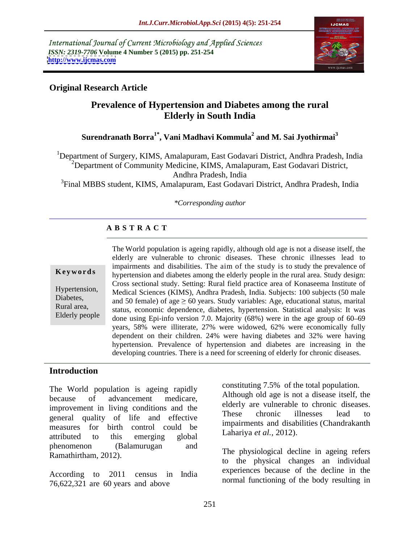International Journal of Current Microbiology and Applied Sciences *ISSN: 2319-7706* **Volume 4 Number 5 (2015) pp. 251-254 <http://www.ijcmas.com>**



# **Original Research Article**

# **Prevalence of Hypertension and Diabetes among the rural Elderly in South India**

### **Surendranath Borra1\* , Vani Madhavi Kommula<sup>2</sup> and M. Sai Jyothirmai<sup>3</sup>**

<sup>1</sup>Department of Surgery, KIMS, Amalapuram, East Godavari District, Andhra Pradesh, India  $2^2$ Department of Community Medicine, KIMS, Amalapuram, East Godavari District,

Andhra Pradesh, India

<sup>3</sup>Final MBBS student, KIMS, Amalapuram, East Godavari District, Andhra Pradesh, India

### *\*Corresponding author*

# **A B S T R A C T**

Elderly people

The World population is ageing rapidly, although old age is not a disease itself, the elderly are vulnerable to chronic diseases. These chronic illnesses lead to impairments and disabilities. The aim of the study is to study the prevalence of hypertension and diabetes among the elderly people in the rural area. Study design: **Ke ywo rds** Cross sectional study. Setting: Rural field practice area of Konaseema Institute of Medical Sciences (KIMS), Andhra Pradesh, India. Subjects: 100 subjects (50 male Hypertension, Diabetes, and 50 female) of age  $\geq 60$  years. Study variables: Age, educational status, marital  $\sum_{n=1}^{\infty}$ Rural area,<br>
status, economic dependence, diabetes, hypertension. Statistical analysis: It was done using Epi-info version 7.0. Majority  $(68%)$  were in the age group of  $60-69$ years, 58% were illiterate, 27% were widowed, 62% were economically fully dependent on their children. 24% were having diabetes and 32% were having hypertension. Prevalence of hypertension and diabetes are increasing in the developing countries. There is a need for screening of elderly for chronic diseases.

## **Introduction**

because of advancement medicare, Although of a disease itself, the improvement in living conditions and the the enterity are vulnerable to chronic diseases.<br>These chronic illnesses lead to general quality of life and effective measures for birth control could be impairments and disability that the control could be Lahariya et al., 2012). attributed to this emerging global **Lanallya** et al., 2012). phenomenon (Balamurugan and Ramathirtham, 2012).

According to 2011 census in India 76,622,321 are 60 years and above

The World population is ageing rapidly constituting 7.5% of the total population. constituting 7.5% of the total population. Although old age is not a disease itself, the elderly are vulnerable to chronic diseases. These chronic illnesses lead to impairments and disabilities (Chandrakanth Lahariya *et al.,* 2012).

> The physiological decline in ageing refers to the physical changes an individual experiences because of the decline in the normal functioning of the body resulting in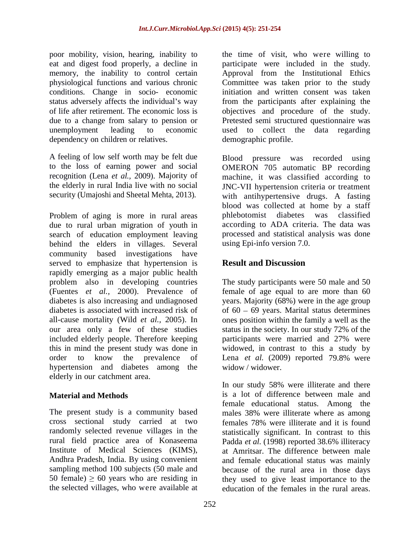eat and digest food properly, a decline in memory, the inability to control certain conditions. Change in socio- economic dependency on children or relatives.

A feeling of low self worth may be felt due to the loss of earning power and social

due to rural urban migration of youth in search of education employment leaving processed and statistical analysis was done behind the elders in villages. Several community based investigations have served to emphasize that hypertension is **Result and Discussion** rapidly emerging as a major public health problem also in developing countries The study participants were 50 male and 50 (Fuentes *et al.,* 2000). Prevalence of female of age equal to are more than 60 diabetes is also increasing and undiagnosed years. Majority (68%) were in the age group diabetes is associated with increased risk of  $\qquad$  of 60 – 69 years. Marital status determines all-cause mortality (Wild *et al.,* 2005). In ones position within the family a well as the our area only a few of these studies status in the society. In our study 72% of the included elderly people. Therefore keeping participants were married and 27% were this in mind the present study was done in widowed, in contrast to this a study by order to know the prevalence of Lena *et al.* (2009) reported 79.8% were hypertension and diabetes among the widow/widower. elderly in our catchment area.

The present study is a community based males 38% were illiterate where as among cross sectional study carried at two randomly selected revenue villages in the rural field practice area of Konaseema Padda et al. (1998) reported 38.6% illiteracy Institute of Medical Sciences (KIMS), at Amritsar. The difference between male Andhra Pradesh, India. By using convenient and female educational status was mainly sampling method 100 subjects (50 male and because of the rural area in those days 50 female)  $\geq 60$  years who are residing in

poor mobility, vision, hearing, inability to the time of visit, who were willing to physiological functions and various chronic Committee was taken prior to the study status adversely affects the individual's way from the participants after explaining the of life after retirement. The economic loss is objectives and procedure of the study. due to a change from salary to pension or Pretested semi structured questionnaire was unemployment leading to economic used to collect the data regarding participate were included in the study. Approval from the Institutional Ethics initiation and written consent was taken demographic profile.

recognition (Lena *et al.,* 2009). Majority of machine, it was classified according to the elderly in rural India live with no social JNC-VII hypertension criteria or treatment security (Umajoshi and Sheetal Mehta, 2013). with antihypertensive drugs. A fasting Since VII hypertension criteria of deather<br>security (Umajoshi and Sheetal Mehta, 2013).<br>Problem of aging is more in rural areas phlebotomist diabetes was classified Blood pressure was recorded using OMERON 705 automatic BP recording blood was collected at home by a staff phlebotomist diabetes was classified according to ADA criteria. The data was using Epi-info version 7.0.

# **Result and Discussion**

status in the society. In our study 72% of the widow / widower.

**Material and Methods** is a lot of difference between male and the selected villages, who were available at education of the females in the rural areas.In our study 58% were illiterate and there female educational status. Among the males 38% were illiterate where as among females 78% were illiterate and it is found statistically significant. In contrast to this Padda *et al.* (1998) reported 38.6% illiteracy they used to give least importance to the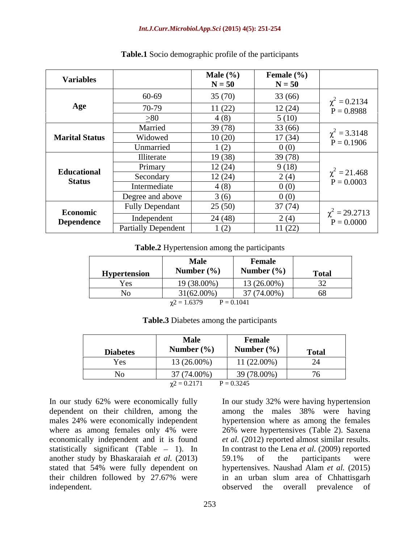### *Int.J.Curr.Microbiol.App.Sci* **(2015) 4(5): 251-254**

| <b>Variables</b>      |                            | <b>Male</b> $(\%)$<br>$N = 50$ | Female $(\% )$<br>$N = 50$ |                                 |
|-----------------------|----------------------------|--------------------------------|----------------------------|---------------------------------|
|                       | 60-69                      | 35(70)                         | 33(66)                     | $\chi^2 = 0.2134$               |
| Age                   | 70-79                      | 11(22)                         | 12(24)                     | $P = 0.8988$                    |
|                       | >80                        | 4(8)                           | 5(10)                      |                                 |
|                       | Married                    | 39(78)                         | 33(66)                     | $^{2}$ = 3.3148                 |
| <b>Marital Status</b> | Widowed                    | 10(20)                         | 17(34)                     | $P = 0.1906$                    |
|                       | Unmarried                  | 1(2)                           | 0(0)                       |                                 |
|                       | Illiterate                 | 19(38)                         | 39(78)                     |                                 |
| Educational           | Primary                    | 12(24)                         | 9(18)                      |                                 |
| <b>Status</b>         | Secondary                  | 12(24)                         | 2(4)                       | $^{2}$ = 21.468<br>$P = 0.0003$ |
|                       | Intermediate               | 4(8)                           | 0(0)                       |                                 |
|                       | Degree and above           | 3(6)                           | 0(0)                       |                                 |
| Economic              | <b>Fully Dependant</b>     | 25(50)                         | 37(74)                     | $= 29.2713$                     |
| <b>Dependence</b>     | Independent                | 24(48)                         | 2(4)                       | $P = 0.0000$                    |
|                       | <b>Partially Dependent</b> | 1(2)                           | 11(22)                     |                                 |

**Table.1** Socio demographic profile of the participants

**Table.2** Hypertension among the participants

|              | <b>Male</b>                     | Female                         |              |
|--------------|---------------------------------|--------------------------------|--------------|
| Hypertension | Number $(\% )$                  | Number $(\% )$                 | <b>Total</b> |
| Yes          | $(38.00\%$<br>⇁                 | $3(26.00\%)$<br>$\overline{ }$ | $-$          |
|              | $31(62.00\%)$                   | 37 (74.00%)                    |              |
|              | $\lambda$ <sup>2</sup> = 1.637° | $= 0.1041$                     |              |

| <b>Table.3 Diabetes</b><br>s among the participants |  |
|-----------------------------------------------------|--|
|                                                     |  |

|                 | Male           | Female         |              |
|-----------------|----------------|----------------|--------------|
| <b>Diabetes</b> | Number $(\% )$ | Number $(\% )$ | <b>Total</b> |
| Yes             | 13 (26.00%)    | 11 (22.00%)    | ∠⊣           |
|                 | 37 (74.00%)    | 39 (78.00%)    |              |
|                 | $= 0.2171$     | $P = 0.3245$   |              |

In our study 62% were economically fully In our study 32% were having hypertension another study by Bhaskaraiah *et al.* (2013)

dependent on their children, among the among the males 38% were having males 24% were economically independent hypertension where as among the females where as among females only 4% were 26% were hypertensives (Table 2). Saxena economically independent and it is found *et al.* (2012) reported almost similar results. statistically significant (Table - 1). In In contrast to the Lena *et al.* (2009) reported stated that 54% were fully dependent on hypertensives. Naushad Alam *et al.* (2015) their children followed by 27.67% were in an urban slum area of Chhattisgarh In our study 62% were economically fully<br>dependent on their children, among the among the males 38% were having<br>males 24% were economically independent hypertension where as among the females<br>where as among females only 4 59.1% of the participants were observed the overall prevalence of